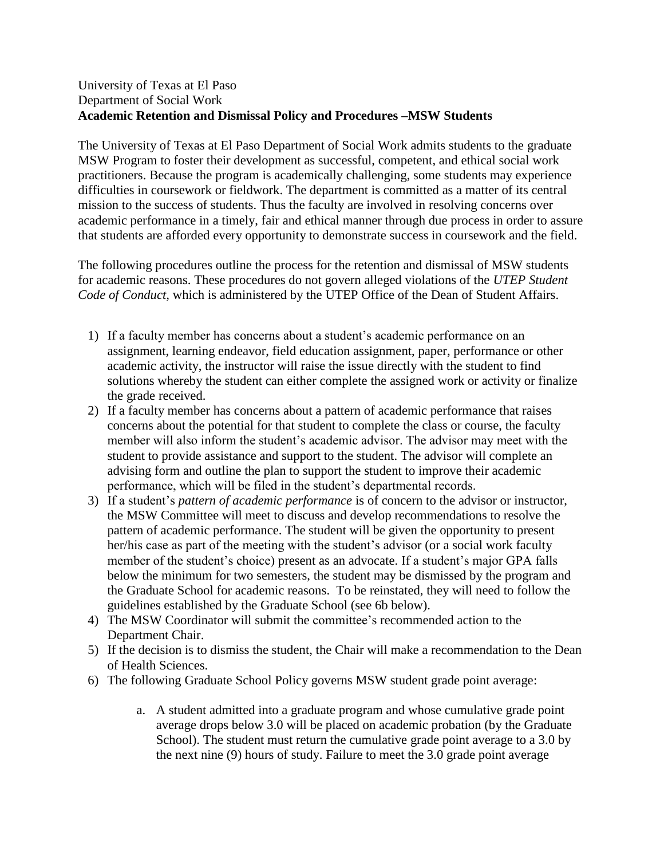## University of Texas at El Paso Department of Social Work **Academic Retention and Dismissal Policy and Procedures –MSW Students**

The University of Texas at El Paso Department of Social Work admits students to the graduate MSW Program to foster their development as successful, competent, and ethical social work practitioners. Because the program is academically challenging, some students may experience difficulties in coursework or fieldwork. The department is committed as a matter of its central mission to the success of students. Thus the faculty are involved in resolving concerns over academic performance in a timely, fair and ethical manner through due process in order to assure that students are afforded every opportunity to demonstrate success in coursework and the field.

The following procedures outline the process for the retention and dismissal of MSW students for academic reasons. These procedures do not govern alleged violations of the *UTEP Student Code of Conduct,* which is administered by the UTEP Office of the Dean of Student Affairs.

- 1) If a faculty member has concerns about a student's academic performance on an assignment, learning endeavor, field education assignment, paper, performance or other academic activity, the instructor will raise the issue directly with the student to find solutions whereby the student can either complete the assigned work or activity or finalize the grade received.
- 2) If a faculty member has concerns about a pattern of academic performance that raises concerns about the potential for that student to complete the class or course, the faculty member will also inform the student's academic advisor. The advisor may meet with the student to provide assistance and support to the student. The advisor will complete an advising form and outline the plan to support the student to improve their academic performance, which will be filed in the student's departmental records.
- 3) If a student's *pattern of academic performance* is of concern to the advisor or instructor, the MSW Committee will meet to discuss and develop recommendations to resolve the pattern of academic performance. The student will be given the opportunity to present her/his case as part of the meeting with the student's advisor (or a social work faculty member of the student's choice) present as an advocate. If a student's major GPA falls below the minimum for two semesters, the student may be dismissed by the program and the Graduate School for academic reasons. To be reinstated, they will need to follow the guidelines established by the Graduate School (see 6b below).
- 4) The MSW Coordinator will submit the committee's recommended action to the Department Chair.
- 5) If the decision is to dismiss the student, the Chair will make a recommendation to the Dean of Health Sciences.
- 6) The following Graduate School Policy governs MSW student grade point average:
	- a. A student admitted into a graduate program and whose cumulative grade point average drops below 3.0 will be placed on academic probation (by the Graduate School). The student must return the cumulative grade point average to a 3.0 by the next nine (9) hours of study. Failure to meet the 3.0 grade point average